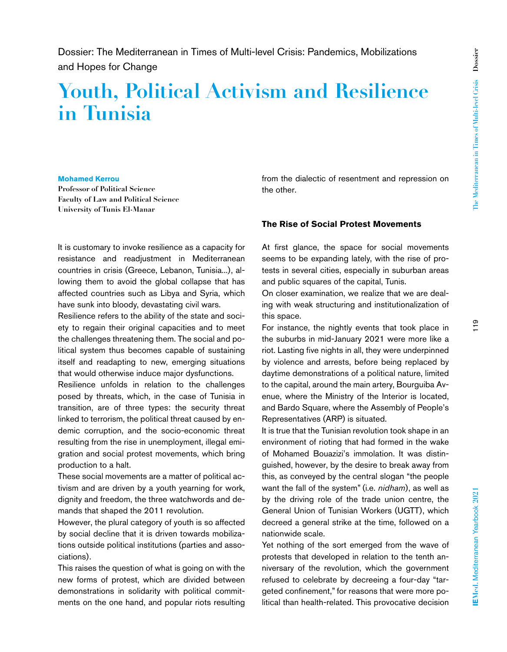# **Youth, Political Activism and Resilience in Tunisia**

#### **Mohamed Kerrou**

**Professor of Political Science Faculty of Law and Political Science University of Tunis El-Manar**

It is customary to invoke resilience as a capacity for resistance and readjustment in Mediterranean countries in crisis (Greece, Lebanon, Tunisia...), allowing them to avoid the global collapse that has affected countries such as Libya and Syria, which have sunk into bloody, devastating civil wars.

Resilience refers to the ability of the state and society to regain their original capacities and to meet the challenges threatening them. The social and political system thus becomes capable of sustaining itself and readapting to new, emerging situations that would otherwise induce major dysfunctions.

Resilience unfolds in relation to the challenges posed by threats, which, in the case of Tunisia in transition, are of three types: the security threat linked to terrorism, the political threat caused by endemic corruption, and the socio-economic threat resulting from the rise in unemployment, illegal emigration and social protest movements, which bring production to a halt.

These social movements are a matter of political activism and are driven by a youth yearning for work, dignity and freedom, the three watchwords and demands that shaped the 2011 revolution.

However, the plural category of youth is so affected by social decline that it is driven towards mobilizations outside political institutions (parties and associations).

This raises the question of what is going on with the new forms of protest, which are divided between demonstrations in solidarity with political commitments on the one hand, and popular riots resulting

from the dialectic of resentment and repression on the other.

#### **The Rise of Social Protest Movements**

At first glance, the space for social movements seems to be expanding lately, with the rise of protests in several cities, especially in suburban areas and public squares of the capital, Tunis.

On closer examination, we realize that we are dealing with weak structuring and institutionalization of this space.

For instance, the nightly events that took place in the suburbs in mid-January 2021 were more like a riot. Lasting five nights in all, they were underpinned by violence and arrests, before being replaced by daytime demonstrations of a political nature, limited to the capital, around the main artery, Bourguiba Avenue, where the Ministry of the Interior is located, and Bardo Square, where the Assembly of People's Representatives (ARP) is situated.

It is true that the Tunisian revolution took shape in an environment of rioting that had formed in the wake of Mohamed Bouazizi's immolation. It was distinguished, however, by the desire to break away from this, as conveyed by the central slogan "the people want the fall of the system" (i.e. *nidham*), as well as by the driving role of the trade union centre, the General Union of Tunisian Workers (UGTT), which decreed a general strike at the time, followed on a nationwide scale.

Yet nothing of the sort emerged from the wave of protests that developed in relation to the tenth anniversary of the revolution, which the government refused to celebrate by decreeing a four-day "targeted confinement," for reasons that were more political than health-related. This provocative decision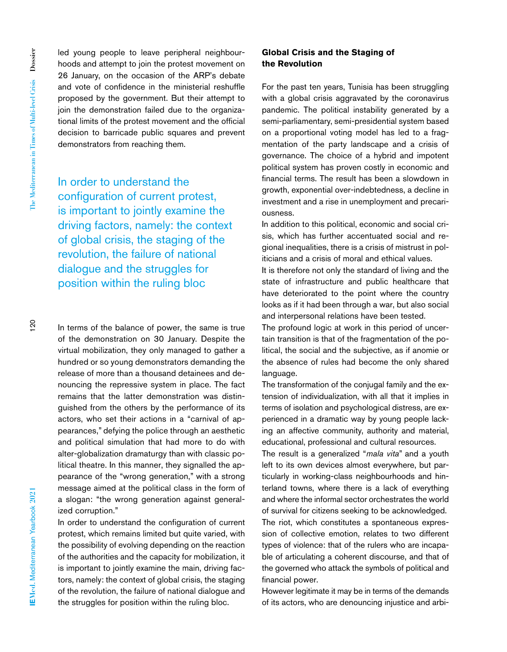led young people to leave peripheral neighbourhoods and attempt to join the protest movement on 26 January, on the occasion of the ARP's debate and vote of confidence in the ministerial reshuffle proposed by the government. But their attempt to join the demonstration failed due to the organizational limits of the protest movement and the official decision to barricade public squares and prevent demonstrators from reaching them.

In order to understand the configuration of current protest, is important to jointly examine the driving factors, namely: the context of global crisis, the staging of the revolution, the failure of national dialogue and the struggles for position within the ruling bloc

In terms of the balance of power, the same is true of the demonstration on 30 January. Despite the virtual mobilization, they only managed to gather a hundred or so young demonstrators demanding the release of more than a thousand detainees and denouncing the repressive system in place. The fact remains that the latter demonstration was distinguished from the others by the performance of its actors, who set their actions in a "carnival of appearances," defying the police through an aesthetic and political simulation that had more to do with alter-globalization dramaturgy than with classic political theatre. In this manner, they signalled the appearance of the "wrong generation," with a strong message aimed at the political class in the form of a slogan: "the wrong generation against generalized corruption."

In order to understand the configuration of current protest, which remains limited but quite varied, with the possibility of evolving depending on the reaction of the authorities and the capacity for mobilization, it is important to jointly examine the main, driving factors, namely: the context of global crisis, the staging of the revolution, the failure of national dialogue and the struggles for position within the ruling bloc.

## **Global Crisis and the Staging of the Revolution**

For the past ten years, Tunisia has been struggling with a global crisis aggravated by the coronavirus pandemic. The political instability generated by a semi-parliamentary, semi-presidential system based on a proportional voting model has led to a fragmentation of the party landscape and a crisis of governance. The choice of a hybrid and impotent political system has proven costly in economic and financial terms. The result has been a slowdown in growth, exponential over-indebtedness, a decline in investment and a rise in unemployment and precariousness.

In addition to this political, economic and social crisis, which has further accentuated social and regional inequalities, there is a crisis of mistrust in politicians and a crisis of moral and ethical values.

It is therefore not only the standard of living and the state of infrastructure and public healthcare that have deteriorated to the point where the country looks as if it had been through a war, but also social and interpersonal relations have been tested.

The profound logic at work in this period of uncertain transition is that of the fragmentation of the political, the social and the subjective, as if anomie or the absence of rules had become the only shared language.

The transformation of the conjugal family and the extension of individualization, with all that it implies in terms of isolation and psychological distress, are experienced in a dramatic way by young people lacking an affective community, authority and material, educational, professional and cultural resources.

The result is a generalized "*mala vita*" and a youth left to its own devices almost everywhere, but particularly in working-class neighbourhoods and hinterland towns, where there is a lack of everything and where the informal sector orchestrates the world of survival for citizens seeking to be acknowledged.

The riot, which constitutes a spontaneous expression of collective emotion, relates to two different types of violence: that of the rulers who are incapable of articulating a coherent discourse, and that of the governed who attack the symbols of political and financial power.

However legitimate it may be in terms of the demands of its actors, who are denouncing injustice and arbi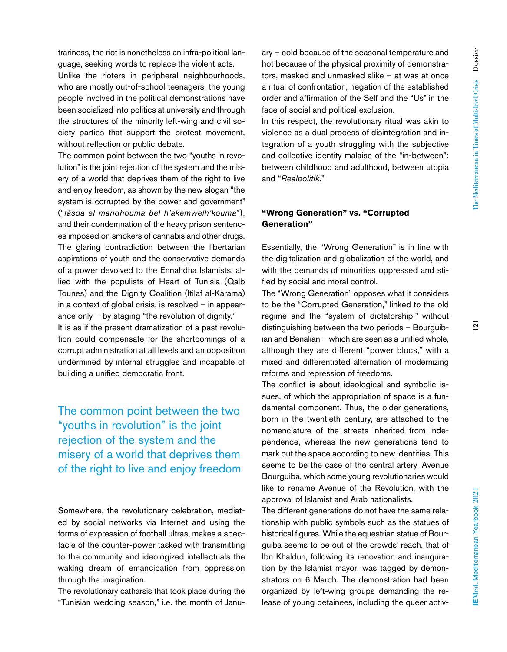trariness, the riot is nonetheless an infra-political language, seeking words to replace the violent acts.

Unlike the rioters in peripheral neighbourhoods, who are mostly out-of-school teenagers, the young people involved in the political demonstrations have been socialized into politics at university and through the structures of the minority left-wing and civil society parties that support the protest movement, without reflection or public debate.

The common point between the two "youths in revolution" is the joint rejection of the system and the misery of a world that deprives them of the right to live and enjoy freedom, as shown by the new slogan "the system is corrupted by the power and government" ("*fâsda el mandhouma bel h'akemwelh'kouma*"), and their condemnation of the heavy prison sentences imposed on smokers of cannabis and other drugs. The glaring contradiction between the libertarian aspirations of youth and the conservative demands of a power devolved to the Ennahdha Islamists, allied with the populists of Heart of Tunisia (Qalb Tounes) and the Dignity Coalition (Itilaf al-Karama) in a context of global crisis, is resolved – in appearance only  $-$  by staging "the revolution of dignity." It is as if the present dramatization of a past revolution could compensate for the shortcomings of a corrupt administration at all levels and an opposition undermined by internal struggles and incapable of building a unified democratic front.

The common point between the two "youths in revolution" is the joint rejection of the system and the misery of a world that deprives them of the right to live and enjoy freedom

Somewhere, the revolutionary celebration, mediated by social networks via Internet and using the forms of expression of football ultras, makes a spectacle of the counter-power tasked with transmitting to the community and ideologized intellectuals the waking dream of emancipation from oppression through the imagination.

The revolutionary catharsis that took place during the "Tunisian wedding season," i.e. the month of January – cold because of the seasonal temperature and hot because of the physical proximity of demonstrators, masked and unmasked alike – at was at once a ritual of confrontation, negation of the established order and affirmation of the Self and the "Us" in the face of social and political exclusion.

In this respect, the revolutionary ritual was akin to violence as a dual process of disintegration and integration of a youth struggling with the subjective and collective identity malaise of the "in-between": between childhood and adulthood, between utopia and "*Realpolitik*."

#### **"Wrong Generation" vs. "Corrupted Generation"**

Essentially, the "Wrong Generation" is in line with the digitalization and globalization of the world, and with the demands of minorities oppressed and stifled by social and moral control.

The "Wrong Generation" opposes what it considers to be the "Corrupted Generation," linked to the old regime and the "system of dictatorship," without distinguishing between the two periods – Bourguibian and Benalian – which are seen as a unified whole, although they are different "power blocs," with a mixed and differentiated alternation of modernizing reforms and repression of freedoms.

The conflict is about ideological and symbolic issues, of which the appropriation of space is a fundamental component. Thus, the older generations, born in the twentieth century, are attached to the nomenclature of the streets inherited from independence, whereas the new generations tend to mark out the space according to new identities. This seems to be the case of the central artery, Avenue Bourguiba, which some young revolutionaries would like to rename Avenue of the Revolution, with the approval of Islamist and Arab nationalists.

The different generations do not have the same relationship with public symbols such as the statues of historical figures. While the equestrian statue of Bourguiba seems to be out of the crowds' reach, that of Ibn Khaldun, following its renovation and inauguration by the Islamist mayor, was tagged by demonstrators on 6 March. The demonstration had been organized by left-wing groups demanding the release of young detainees, including the queer activ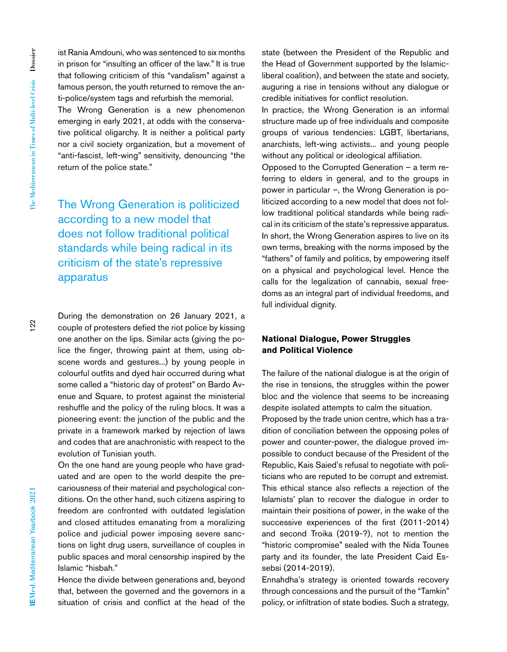ist Rania Amdouni, who was sentenced to six months in prison for "insulting an officer of the law." It is true that following criticism of this "vandalism" against a famous person, the youth returned to remove the anti-police/system tags and refurbish the memorial.

The Wrong Generation is a new phenomenon emerging in early 2021, at odds with the conservative political oligarchy. It is neither a political party nor a civil society organization, but a movement of "anti-fascist, left-wing" sensitivity, denouncing "the return of the police state."

The Wrong Generation is politicized according to a new model that does not follow traditional political standards while being radical in its criticism of the state's repressive apparatus

During the demonstration on 26 January 2021, a couple of protesters defied the riot police by kissing one another on the lips. Similar acts (giving the police the finger, throwing paint at them, using obscene words and gestures...) by young people in colourful outfits and dyed hair occurred during what some called a "historic day of protest" on Bardo Avenue and Square, to protest against the ministerial reshuffle and the policy of the ruling blocs. It was a pioneering event: the junction of the public and the private in a framework marked by rejection of laws and codes that are anachronistic with respect to the evolution of Tunisian youth.

On the one hand are young people who have graduated and are open to the world despite the precariousness of their material and psychological conditions. On the other hand, such citizens aspiring to freedom are confronted with outdated legislation and closed attitudes emanating from a moralizing police and judicial power imposing severe sanctions on light drug users, surveillance of couples in public spaces and moral censorship inspired by the Islamic "hisbah."

Hence the divide between generations and, beyond that, between the governed and the governors in a situation of crisis and conflict at the head of the

state (between the President of the Republic and the Head of Government supported by the Islamicliberal coalition), and between the state and society, auguring a rise in tensions without any dialogue or credible initiatives for conflict resolution.

In practice, the Wrong Generation is an informal structure made up of free individuals and composite groups of various tendencies: LGBT, libertarians, anarchists, left-wing activists... and young people without any political or ideological affiliation.

Opposed to the Corrupted Generation – a term referring to elders in general, and to the groups in power in particular –, the Wrong Generation is politicized according to a new model that does not follow traditional political standards while being radical in its criticism of the state's repressive apparatus. In short, the Wrong Generation aspires to live on its own terms, breaking with the norms imposed by the "fathers" of family and politics, by empowering itself on a physical and psychological level. Hence the calls for the legalization of cannabis, sexual freedoms as an integral part of individual freedoms, and full individual dignity.

### **National Dialogue, Power Struggles and Political Violence**

The failure of the national dialogue is at the origin of the rise in tensions, the struggles within the power bloc and the violence that seems to be increasing despite isolated attempts to calm the situation.

Proposed by the trade union centre, which has a tradition of conciliation between the opposing poles of power and counter-power, the dialogue proved impossible to conduct because of the President of the Republic, Kais Saied's refusal to negotiate with politicians who are reputed to be corrupt and extremist. This ethical stance also reflects a rejection of the Islamists' plan to recover the dialogue in order to maintain their positions of power, in the wake of the successive experiences of the first (2011-2014) and second Troika (2019-?), not to mention the "historic compromise" sealed with the Nida Tounes party and its founder, the late President Caid Essebsi (2014-2019).

Ennahdha's strategy is oriented towards recovery through concessions and the pursuit of the "Tamkin" policy, or infiltration of state bodies. Such a strategy,

 $122$